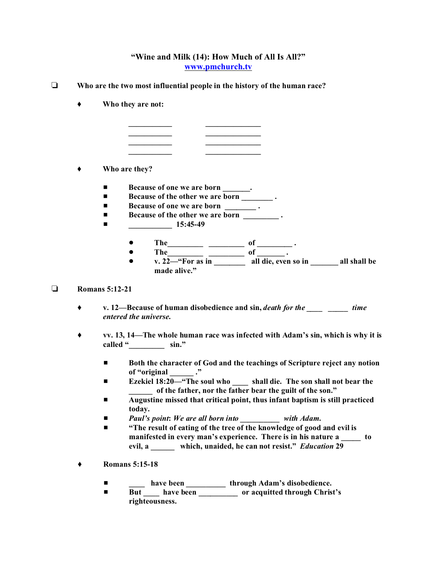## **"Wine and Milk (14): How Much of All Is All?" www.pmchurch.tv**

- **Who are the two most influential people in the history of the human race?**
	- **Who they are not:**



## **Who are they?**

- **Because of one we are born \_\_\_\_\_\_.**
- **Because of the other we are born** \_\_\_\_\_\_\_\_\_\_.
- Because of one we are born **.**
- **Because of the other we are born** .
- $\blacksquare$  15:45-49
	- $\bullet$  The  $\qquad \qquad$   $\bullet$  The  $\qquad \qquad$   $\bullet$   $\qquad \qquad$  of  $\qquad \qquad$ .
	- The\_\_\_\_\_\_\_\_\_ \_\_\_\_\_\_\_\_\_ of \_\_\_\_\_\_\_.
	- ! **v. 22—"For as in \_\_\_\_\_\_\_\_ all die, even so in \_\_\_\_\_\_\_ all shall be made alive."**

## **Romans 5:12-21**

- **v. 12—Because of human disobedience and sin,** *death for the \_\_\_\_ \_\_\_\_\_ time entered the universe***.**
- **vv. 13, 14—The whole human race was infected with Adam's sin, which is why it is called "\_\_\_\_\_\_\_\_\_ sin."**
	- $\blacksquare$  **Both the character of God and the teachings of Scripture reject any notion of "original \_\_\_\_\_\_ ."**
	- **Ezekiel 18:20—"The soul who shall die.** The son shall not bear the **\_\_\_\_\_\_ of the father, nor the father bear the guilt of the son."**
	- $\blacksquare$  Augustine missed that critical point, thus infant baptism is still practiced **today.**
	- # *Paul's point***:** *We are all born into \_\_\_\_\_\_\_\_\_\_ with Adam.*
	- $\blacksquare$  "The result of eating of the tree of the knowledge of good and evil is **manifested in every man's experience. There is in his nature a \_\_\_\_\_ to evil, a \_\_\_\_\_\_ which, unaided, he can not resist."** *Education* **29**
- **Romans 5:15-18**
	- $\blacksquare$  have been \_\_\_\_\_\_\_\_\_\_\_\_ through Adam's disobedience.
	- But <u>Letter But and But and But and But and But and But and But and But and But and But and But and But and But and But and But and But and But and But and But and But and But and But and But and But and But and But and</u> **righteousness.**